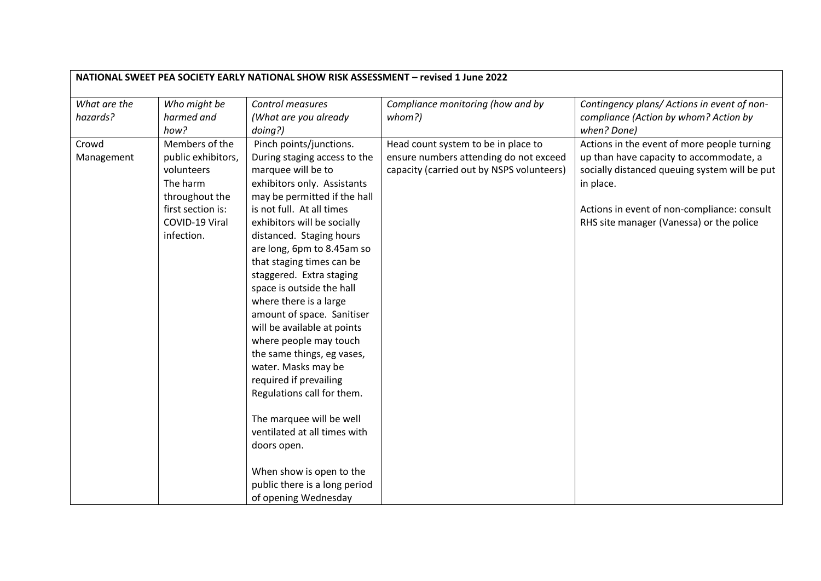| NATIONAL SWEET PEA SOCIETY EARLY NATIONAL SHOW RISK ASSESSMENT - revised 1 June 2022 |                                                                                                                         |                                                                                                                                                                                                                                                                                                                                                                                                                                                                                                                                            |                                                                                                                            |                                                                                                                                                                                                     |  |
|--------------------------------------------------------------------------------------|-------------------------------------------------------------------------------------------------------------------------|--------------------------------------------------------------------------------------------------------------------------------------------------------------------------------------------------------------------------------------------------------------------------------------------------------------------------------------------------------------------------------------------------------------------------------------------------------------------------------------------------------------------------------------------|----------------------------------------------------------------------------------------------------------------------------|-----------------------------------------------------------------------------------------------------------------------------------------------------------------------------------------------------|--|
| What are the                                                                         | Who might be                                                                                                            | Control measures                                                                                                                                                                                                                                                                                                                                                                                                                                                                                                                           | Compliance monitoring (how and by                                                                                          | Contingency plans/ Actions in event of non-                                                                                                                                                         |  |
| hazards?                                                                             | harmed and                                                                                                              | (What are you already                                                                                                                                                                                                                                                                                                                                                                                                                                                                                                                      | whom?)                                                                                                                     | compliance (Action by whom? Action by                                                                                                                                                               |  |
|                                                                                      | how?                                                                                                                    | doing?)                                                                                                                                                                                                                                                                                                                                                                                                                                                                                                                                    |                                                                                                                            | when? Done)                                                                                                                                                                                         |  |
| Crowd<br>Management                                                                  | Members of the<br>public exhibitors,<br>volunteers<br>The harm<br>throughout the<br>first section is:<br>COVID-19 Viral | Pinch points/junctions.<br>During staging access to the<br>marquee will be to<br>exhibitors only. Assistants<br>may be permitted if the hall<br>is not full. At all times<br>exhibitors will be socially                                                                                                                                                                                                                                                                                                                                   | Head count system to be in place to<br>ensure numbers attending do not exceed<br>capacity (carried out by NSPS volunteers) | Actions in the event of more people turning<br>up than have capacity to accommodate, a<br>socially distanced queuing system will be put<br>in place.<br>Actions in event of non-compliance: consult |  |
|                                                                                      | infection.                                                                                                              | distanced. Staging hours<br>are long, 6pm to 8.45am so<br>that staging times can be<br>staggered. Extra staging<br>space is outside the hall<br>where there is a large<br>amount of space. Sanitiser<br>will be available at points<br>where people may touch<br>the same things, eg vases,<br>water. Masks may be<br>required if prevailing<br>Regulations call for them.<br>The marquee will be well<br>ventilated at all times with<br>doors open.<br>When show is open to the<br>public there is a long period<br>of opening Wednesday |                                                                                                                            | RHS site manager (Vanessa) or the police                                                                                                                                                            |  |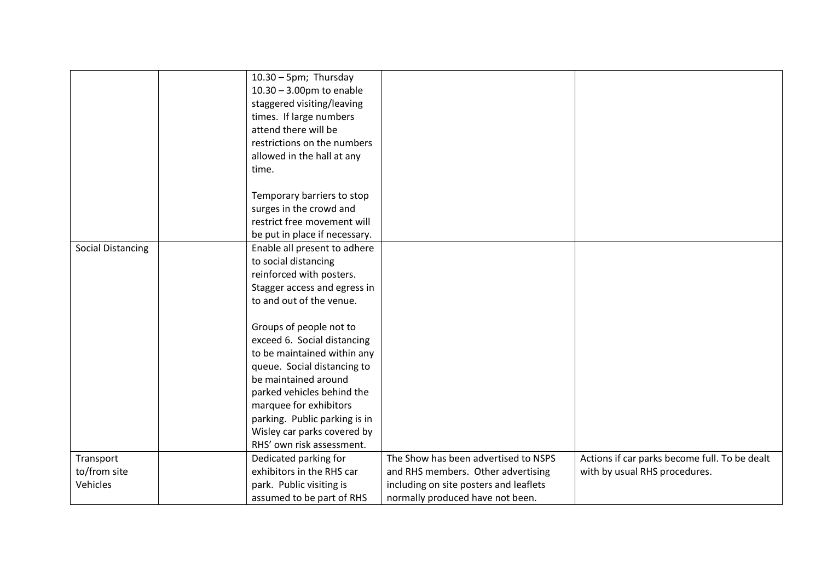|                          | $10.30 - 5$ pm; Thursday      |                                        |                                               |
|--------------------------|-------------------------------|----------------------------------------|-----------------------------------------------|
|                          | $10.30 - 3.00$ pm to enable   |                                        |                                               |
|                          |                               |                                        |                                               |
|                          | staggered visiting/leaving    |                                        |                                               |
|                          | times. If large numbers       |                                        |                                               |
|                          | attend there will be          |                                        |                                               |
|                          | restrictions on the numbers   |                                        |                                               |
|                          | allowed in the hall at any    |                                        |                                               |
|                          | time.                         |                                        |                                               |
|                          |                               |                                        |                                               |
|                          | Temporary barriers to stop    |                                        |                                               |
|                          | surges in the crowd and       |                                        |                                               |
|                          | restrict free movement will   |                                        |                                               |
|                          | be put in place if necessary. |                                        |                                               |
| <b>Social Distancing</b> | Enable all present to adhere  |                                        |                                               |
|                          | to social distancing          |                                        |                                               |
|                          | reinforced with posters.      |                                        |                                               |
|                          | Stagger access and egress in  |                                        |                                               |
|                          | to and out of the venue.      |                                        |                                               |
|                          |                               |                                        |                                               |
|                          |                               |                                        |                                               |
|                          | Groups of people not to       |                                        |                                               |
|                          | exceed 6. Social distancing   |                                        |                                               |
|                          | to be maintained within any   |                                        |                                               |
|                          | queue. Social distancing to   |                                        |                                               |
|                          | be maintained around          |                                        |                                               |
|                          | parked vehicles behind the    |                                        |                                               |
|                          | marquee for exhibitors        |                                        |                                               |
|                          | parking. Public parking is in |                                        |                                               |
|                          | Wisley car parks covered by   |                                        |                                               |
|                          | RHS' own risk assessment.     |                                        |                                               |
| Transport                | Dedicated parking for         | The Show has been advertised to NSPS   | Actions if car parks become full. To be dealt |
| to/from site             | exhibitors in the RHS car     | and RHS members. Other advertising     | with by usual RHS procedures.                 |
| Vehicles                 | park. Public visiting is      | including on site posters and leaflets |                                               |
|                          | assumed to be part of RHS     | normally produced have not been.       |                                               |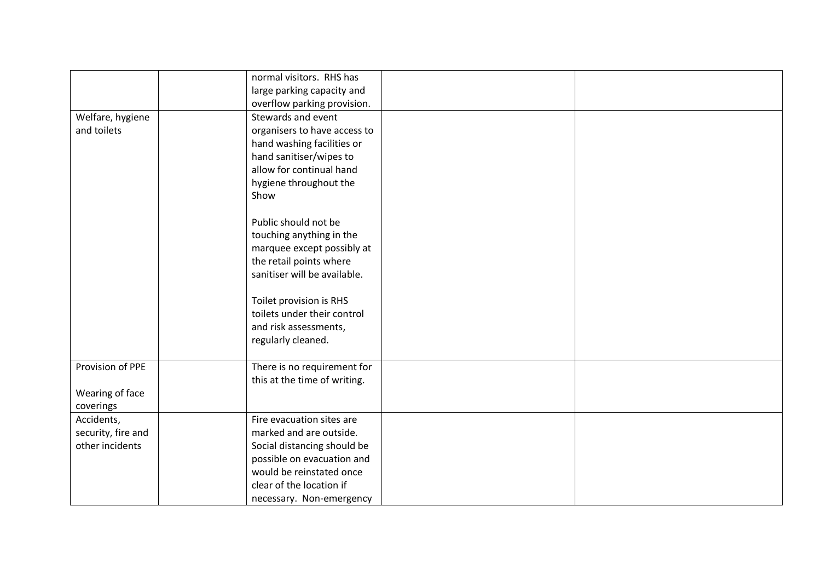|                                       | normal visitors. RHS has     |  |
|---------------------------------------|------------------------------|--|
|                                       | large parking capacity and   |  |
|                                       | overflow parking provision.  |  |
|                                       | Stewards and event           |  |
| Welfare, hygiene                      |                              |  |
| and toilets                           | organisers to have access to |  |
|                                       | hand washing facilities or   |  |
|                                       | hand sanitiser/wipes to      |  |
|                                       | allow for continual hand     |  |
|                                       | hygiene throughout the       |  |
|                                       | Show                         |  |
|                                       |                              |  |
|                                       | Public should not be         |  |
|                                       | touching anything in the     |  |
|                                       | marquee except possibly at   |  |
|                                       | the retail points where      |  |
|                                       | sanitiser will be available. |  |
|                                       |                              |  |
|                                       | Toilet provision is RHS      |  |
|                                       | toilets under their control  |  |
|                                       | and risk assessments,        |  |
|                                       | regularly cleaned.           |  |
|                                       |                              |  |
| Provision of PPE                      | There is no requirement for  |  |
|                                       | this at the time of writing. |  |
|                                       |                              |  |
| Wearing of face                       |                              |  |
| coverings<br>Accidents,               | Fire evacuation sites are    |  |
|                                       |                              |  |
| security, fire and<br>other incidents | marked and are outside.      |  |
|                                       | Social distancing should be  |  |
|                                       | possible on evacuation and   |  |
|                                       | would be reinstated once     |  |
|                                       | clear of the location if     |  |
|                                       | necessary. Non-emergency     |  |